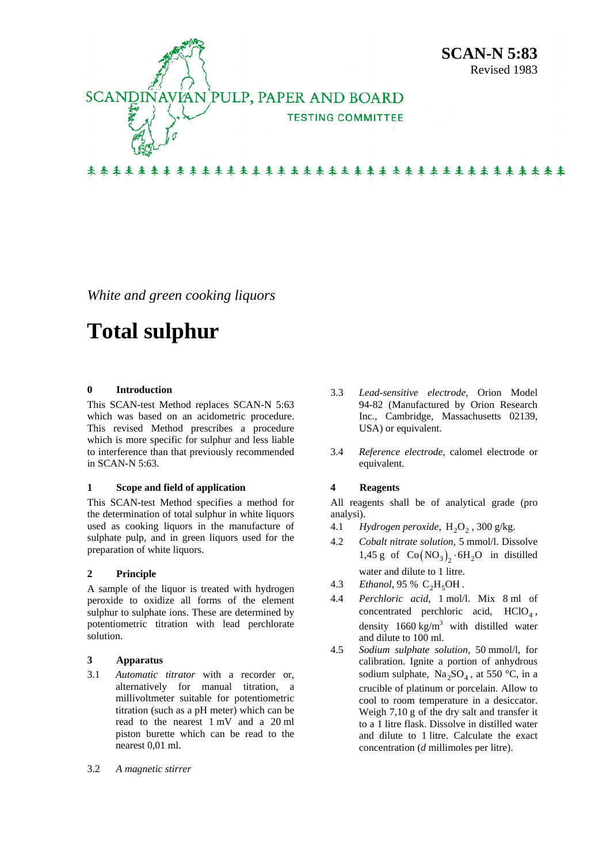

*White and green cooking liquors* 

# **Total sulphur**

# **0 Introduction**

This SCAN-test Method replaces SCAN-N 5:63 which was based on an acidometric procedure. This revised Method prescribes a procedure which is more specific for sulphur and less liable to interference than that previously recommended in SCAN-N 5:63.

#### **1 Scope and field of application**

This SCAN-test Method specifies a method for the determination of total sulphur in white liquors used as cooking liquors in the manufacture of sulphate pulp, and in green liquors used for the preparation of white liquors.

# **2 Principle**

A sample of the liquor is treated with hydrogen peroxide to oxidize all forms of the element sulphur to sulphate ions. These are determined by potentiometric titration with lead perchlorate solution.

#### **3 Apparatus**

- 3.1 *Automatic titrator* with a recorder or, alternatively for manual titration, a millivoltmeter suitable for potentiometric titration (such as a pH meter) which can be read to the nearest 1 mV and a 20 ml piston burette which can be read to the nearest 0,01 ml.
- 3.2 *A magnetic stirrer*
- 3.3 *Lead-sensitive electrode*, Orion Model 94-82 (Manufactured by Orion Research Inc., Cambridge, Massachusetts 02139, USA) or equivalent.
- 3.4 *Reference electrode*, calomel electrode or equivalent.

# **4 Reagents**

All reagents shall be of analytical grade (pro analysi).

- 4.1 *Hydrogen peroxide*, H<sub>2</sub>O<sub>2</sub>, 300 g/kg.
- 4.2 *Cobalt nitrate solution*, 5 mmol/l. Dissolve 1,45 g of  $Co(NO<sub>3</sub>)$ <sub>2</sub>  $·6H<sub>2</sub>O$  in distilled water and dilute to 1 litre.
- 4.3 *Ethanol*, 95 % C<sub>2</sub>H<sub>5</sub>OH.
- 4.4 *Perchloric acid*, 1 mol/l. Mix 8 ml of concentrated perchloric acid,  $HClO<sub>4</sub>$ , density  $1660 \text{ kg/m}^3$  with distilled water and dilute to 100 ml.
- 4.5 *Sodium sulphate solution*, 50 mmol/l, for calibration. Ignite a portion of anhydrous sodium sulphate,  $Na<sub>2</sub>SO<sub>4</sub>$ , at 550 °C, in a crucible of platinum or porcelain. Allow to cool to room temperature in a desiccator. Weigh 7,10 g of the dry salt and transfer it to a 1 litre flask. Dissolve in distilled water and dilute to 1 litre. Calculate the exact concentration (*d* millimoles per litre).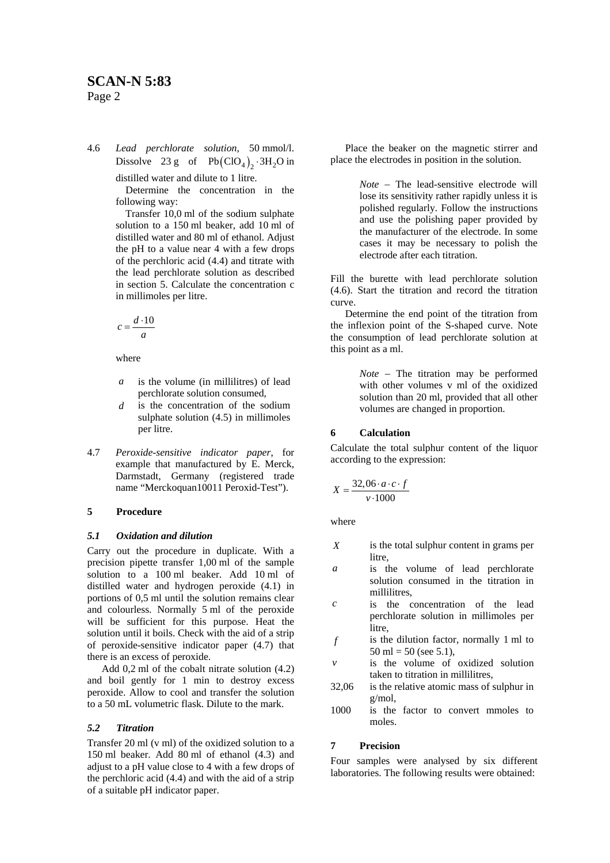4.6 *Lead perchlorate solution*, 50 mmol/l. Dissolve 23 g of  $Pb(CIO_4)_2 \cdot 3H_2O$  in distilled water and dilute to 1 litre.

Determine the concentration in the following way:

Transfer 10,0 ml of the sodium sulphate solution to a 150 ml beaker, add 10 ml of distilled water and 80 ml of ethanol. Adjust the pH to a value near 4 with a few drops of the perchloric acid (4.4) and titrate with the lead perchlorate solution as described in section 5. Calculate the concentration c in millimoles per litre.

$$
c = \frac{d \cdot 10}{a}
$$

where

- *a* is the volume (in millilitres) of lead perchlorate solution consumed,
- *d* is the concentration of the sodium sulphate solution (4.5) in millimoles per litre.
- 4.7 *Peroxide-sensitive indicator paper*, for example that manufactured by E. Merck, Darmstadt, Germany (registered trade name "Merckoquan10011 Peroxid-Test").

#### **5 Procedure**

#### *5.1 Oxidation and dilution*

Carry out the procedure in duplicate. With a precision pipette transfer 1,00 ml of the sample solution to a 100 ml beaker. Add 10 ml of distilled water and hydrogen peroxide (4.1) in portions of 0,5 ml until the solution remains clear and colourless. Normally 5 ml of the peroxide will be sufficient for this purpose. Heat the solution until it boils. Check with the aid of a strip of peroxide-sensitive indicator paper (4.7) that there is an excess of peroxide.

Add 0,2 ml of the cobalt nitrate solution (4.2) and boil gently for 1 min to destroy excess peroxide. Allow to cool and transfer the solution to a 50 mL volumetric flask. Dilute to the mark.

#### *5.2 Titration*

Transfer 20 ml (v ml) of the oxidized solution to a 150 ml beaker. Add 80 ml of ethanol (4.3) and adjust to a pH value close to 4 with a few drops of the perchloric acid (4.4) and with the aid of a strip of a suitable pH indicator paper.

Place the beaker on the magnetic stirrer and place the electrodes in position in the solution.

> *Note* − The lead-sensitive electrode will lose its sensitivity rather rapidly unless it is polished regularly. Follow the instructions and use the polishing paper provided by the manufacturer of the electrode. In some cases it may be necessary to polish the electrode after each titration.

Fill the burette with lead perchlorate solution (4.6). Start the titration and record the titration curve.

Determine the end point of the titration from the inflexion point of the S-shaped curve. Note the consumption of lead perchlorate solution at this point as a ml.

> *Note* − The titration may be performed with other volumes v ml of the oxidized solution than 20 ml, provided that all other volumes are changed in proportion.

# **6 Calculation**

Calculate the total sulphur content of the liquor according to the expression:

$$
X = \frac{32,06 \cdot a \cdot c \cdot f}{v \cdot 1000}
$$

where

- *X* is the total sulphur content in grams per litre,
- *a* is the volume of lead perchlorate solution consumed in the titration in millilitres,
- *c* is the concentration of the lead perchlorate solution in millimoles per litre.
- *f* is the dilution factor, normally 1 ml to 50 ml = 50 (see 5.1),
- *v* is the volume of oxidized solution taken to titration in millilitres,
- 32,06 is the relative atomic mass of sulphur in g/mol,
- 1000 is the factor to convert mmoles to moles.

# **7 Precision**

Four samples were analysed by six different laboratories. The following results were obtained: